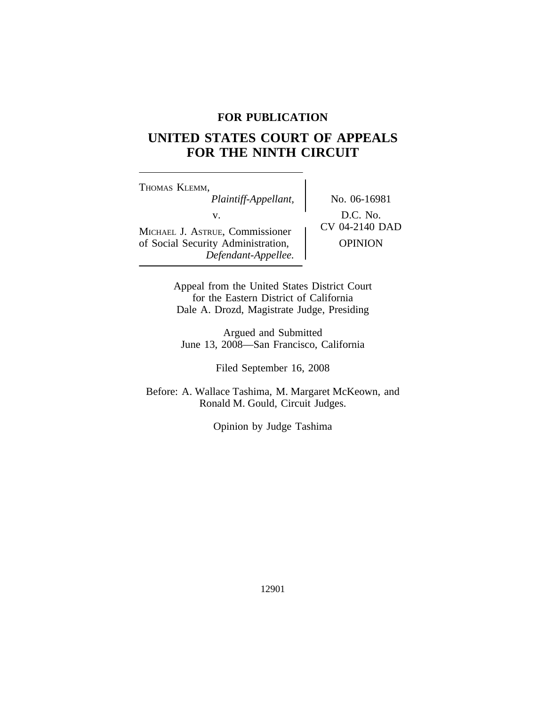## **FOR PUBLICATION**

# **UNITED STATES COURT OF APPEALS FOR THE NINTH CIRCUIT**

<sup>T</sup>HOMAS KLEMM, *Plaintiff-Appellant,* No. 06-16981 v.  $D.C. No.$ <br>  $UV$  04-2140 DAD MICHAEL J. ASTRUE, Commissioner of Social Security Administration,  $\qquad$  OPINION *Defendant-Appellee.*

Appeal from the United States District Court for the Eastern District of California Dale A. Drozd, Magistrate Judge, Presiding

Argued and Submitted June 13, 2008—San Francisco, California

Filed September 16, 2008

Before: A. Wallace Tashima, M. Margaret McKeown, and Ronald M. Gould, Circuit Judges.

Opinion by Judge Tashima

12901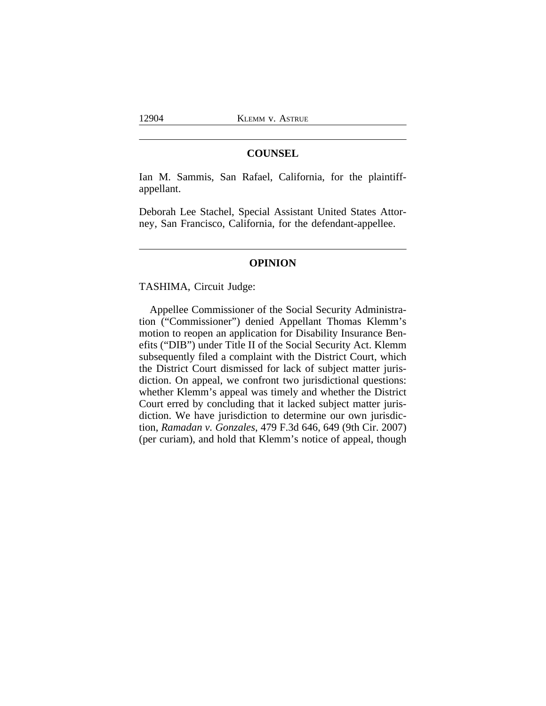### **COUNSEL**

Ian M. Sammis, San Rafael, California, for the plaintiffappellant.

Deborah Lee Stachel, Special Assistant United States Attorney, San Francisco, California, for the defendant-appellee.

#### **OPINION**

TASHIMA, Circuit Judge:

Appellee Commissioner of the Social Security Administration ("Commissioner") denied Appellant Thomas Klemm's motion to reopen an application for Disability Insurance Benefits ("DIB") under Title II of the Social Security Act. Klemm subsequently filed a complaint with the District Court, which the District Court dismissed for lack of subject matter jurisdiction. On appeal, we confront two jurisdictional questions: whether Klemm's appeal was timely and whether the District Court erred by concluding that it lacked subject matter jurisdiction. We have jurisdiction to determine our own jurisdiction, *Ramadan v. Gonzales*, 479 F.3d 646, 649 (9th Cir. 2007) (per curiam), and hold that Klemm's notice of appeal, though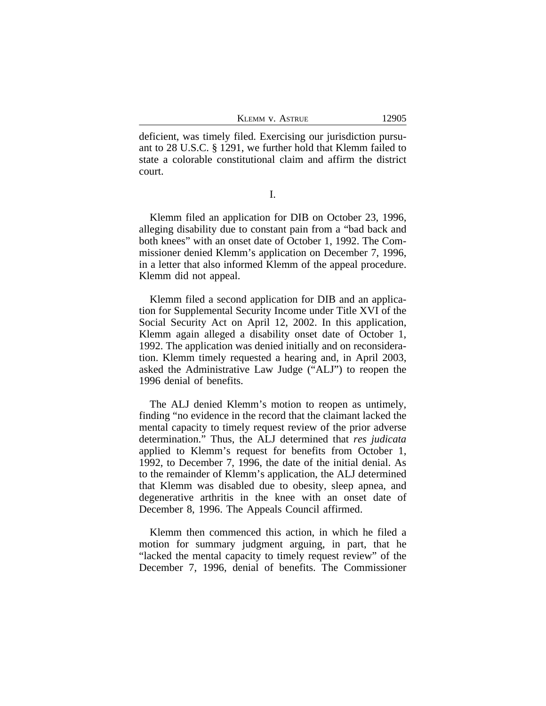KLEMM V. ASTRUE 12905

deficient, was timely filed. Exercising our jurisdiction pursuant to 28 U.S.C. § 1291, we further hold that Klemm failed to state a colorable constitutional claim and affirm the district court.

I.

Klemm filed an application for DIB on October 23, 1996, alleging disability due to constant pain from a "bad back and both knees" with an onset date of October 1, 1992. The Commissioner denied Klemm's application on December 7, 1996, in a letter that also informed Klemm of the appeal procedure. Klemm did not appeal.

Klemm filed a second application for DIB and an application for Supplemental Security Income under Title XVI of the Social Security Act on April 12, 2002. In this application, Klemm again alleged a disability onset date of October 1, 1992. The application was denied initially and on reconsideration. Klemm timely requested a hearing and, in April 2003, asked the Administrative Law Judge ("ALJ") to reopen the 1996 denial of benefits.

The ALJ denied Klemm's motion to reopen as untimely, finding "no evidence in the record that the claimant lacked the mental capacity to timely request review of the prior adverse determination." Thus, the ALJ determined that *res judicata* applied to Klemm's request for benefits from October 1, 1992, to December 7, 1996, the date of the initial denial. As to the remainder of Klemm's application, the ALJ determined that Klemm was disabled due to obesity, sleep apnea, and degenerative arthritis in the knee with an onset date of December 8, 1996. The Appeals Council affirmed.

Klemm then commenced this action, in which he filed a motion for summary judgment arguing, in part, that he "lacked the mental capacity to timely request review" of the December 7, 1996, denial of benefits. The Commissioner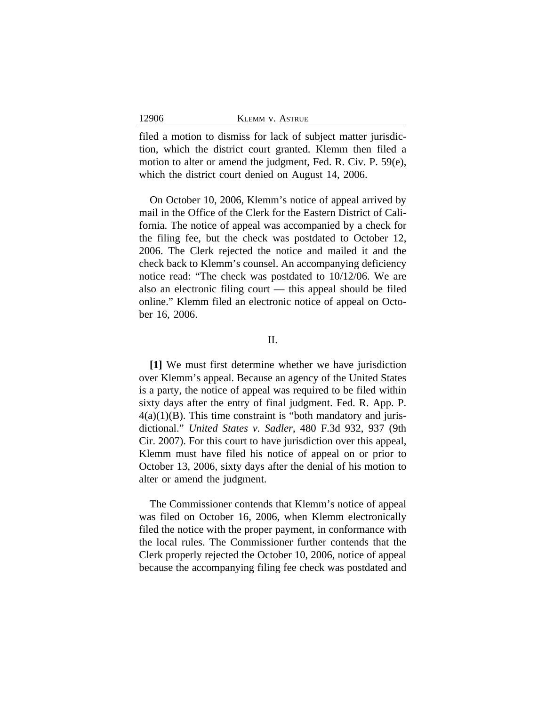| 12906<br><b>KLEMM V. ASTRUE</b> |  |
|---------------------------------|--|
|---------------------------------|--|

filed a motion to dismiss for lack of subject matter jurisdiction, which the district court granted. Klemm then filed a motion to alter or amend the judgment, Fed. R. Civ. P. 59(e), which the district court denied on August 14, 2006.

On October 10, 2006, Klemm's notice of appeal arrived by mail in the Office of the Clerk for the Eastern District of California. The notice of appeal was accompanied by a check for the filing fee, but the check was postdated to October 12, 2006. The Clerk rejected the notice and mailed it and the check back to Klemm's counsel. An accompanying deficiency notice read: "The check was postdated to 10/12/06. We are also an electronic filing court — this appeal should be filed online." Klemm filed an electronic notice of appeal on October 16, 2006.

II.

**[1]** We must first determine whether we have jurisdiction over Klemm's appeal. Because an agency of the United States is a party, the notice of appeal was required to be filed within sixty days after the entry of final judgment. Fed. R. App. P.  $4(a)(1)(B)$ . This time constraint is "both mandatory and jurisdictional." *United States v. Sadler*, 480 F.3d 932, 937 (9th Cir. 2007). For this court to have jurisdiction over this appeal, Klemm must have filed his notice of appeal on or prior to October 13, 2006, sixty days after the denial of his motion to alter or amend the judgment.

The Commissioner contends that Klemm's notice of appeal was filed on October 16, 2006, when Klemm electronically filed the notice with the proper payment, in conformance with the local rules. The Commissioner further contends that the Clerk properly rejected the October 10, 2006, notice of appeal because the accompanying filing fee check was postdated and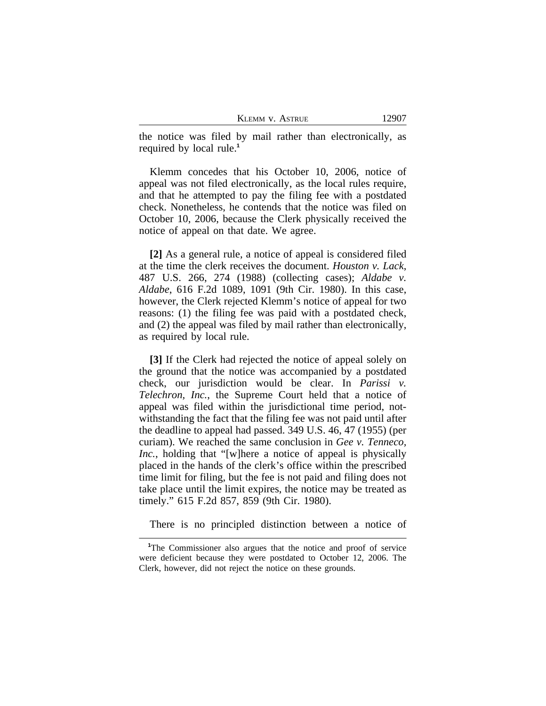the notice was filed by mail rather than electronically, as required by local rule.**<sup>1</sup>**

Klemm concedes that his October 10, 2006, notice of appeal was not filed electronically, as the local rules require, and that he attempted to pay the filing fee with a postdated check. Nonetheless, he contends that the notice was filed on October 10, 2006, because the Clerk physically received the notice of appeal on that date. We agree.

**[2]** As a general rule, a notice of appeal is considered filed at the time the clerk receives the document. *Houston v. Lack*, 487 U.S. 266, 274 (1988) (collecting cases); *Aldabe v. Aldabe*, 616 F.2d 1089, 1091 (9th Cir. 1980). In this case, however, the Clerk rejected Klemm's notice of appeal for two reasons: (1) the filing fee was paid with a postdated check, and (2) the appeal was filed by mail rather than electronically, as required by local rule.

**[3]** If the Clerk had rejected the notice of appeal solely on the ground that the notice was accompanied by a postdated check, our jurisdiction would be clear. In *Parissi v. Telechron, Inc.*, the Supreme Court held that a notice of appeal was filed within the jurisdictional time period, notwithstanding the fact that the filing fee was not paid until after the deadline to appeal had passed. 349 U.S. 46, 47 (1955) (per curiam). We reached the same conclusion in *Gee v. Tenneco, Inc.*, holding that "[w]here a notice of appeal is physically placed in the hands of the clerk's office within the prescribed time limit for filing, but the fee is not paid and filing does not take place until the limit expires, the notice may be treated as timely." 615 F.2d 857, 859 (9th Cir. 1980).

There is no principled distinction between a notice of

**<sup>1</sup>**The Commissioner also argues that the notice and proof of service were deficient because they were postdated to October 12, 2006. The Clerk, however, did not reject the notice on these grounds.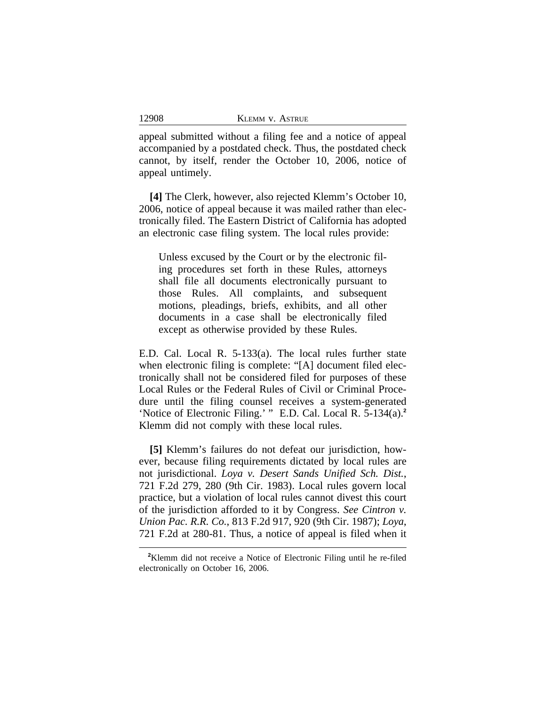appeal submitted without a filing fee and a notice of appeal accompanied by a postdated check. Thus, the postdated check cannot, by itself, render the October 10, 2006, notice of appeal untimely.

**[4]** The Clerk, however, also rejected Klemm's October 10, 2006, notice of appeal because it was mailed rather than electronically filed. The Eastern District of California has adopted an electronic case filing system. The local rules provide:

Unless excused by the Court or by the electronic filing procedures set forth in these Rules, attorneys shall file all documents electronically pursuant to those Rules. All complaints, and subsequent motions, pleadings, briefs, exhibits, and all other documents in a case shall be electronically filed except as otherwise provided by these Rules.

E.D. Cal. Local R. 5-133(a). The local rules further state when electronic filing is complete: "[A] document filed electronically shall not be considered filed for purposes of these Local Rules or the Federal Rules of Civil or Criminal Procedure until the filing counsel receives a system-generated 'Notice of Electronic Filing.' " E.D. Cal. Local R. 5-134(a).**<sup>2</sup>** Klemm did not comply with these local rules.

**[5]** Klemm's failures do not defeat our jurisdiction, however, because filing requirements dictated by local rules are not jurisdictional. *Loya v. Desert Sands Unified Sch. Dist.*, 721 F.2d 279, 280 (9th Cir. 1983). Local rules govern local practice, but a violation of local rules cannot divest this court of the jurisdiction afforded to it by Congress. *See Cintron v. Union Pac. R.R. Co.*, 813 F.2d 917, 920 (9th Cir. 1987); *Loya*, 721 F.2d at 280-81. Thus, a notice of appeal is filed when it

12908

**<sup>2</sup>**Klemm did not receive a Notice of Electronic Filing until he re-filed electronically on October 16, 2006.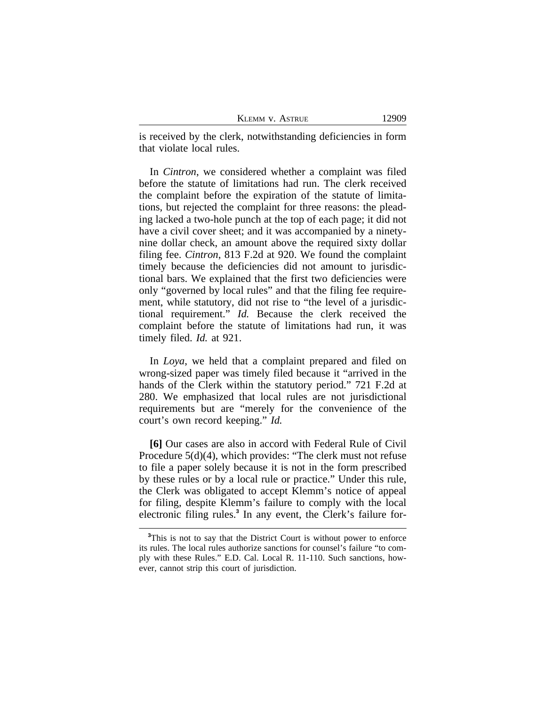is received by the clerk, notwithstanding deficiencies in form that violate local rules.

In *Cintron*, we considered whether a complaint was filed before the statute of limitations had run. The clerk received the complaint before the expiration of the statute of limitations, but rejected the complaint for three reasons: the pleading lacked a two-hole punch at the top of each page; it did not have a civil cover sheet; and it was accompanied by a ninetynine dollar check, an amount above the required sixty dollar filing fee. *Cintron*, 813 F.2d at 920. We found the complaint timely because the deficiencies did not amount to jurisdictional bars. We explained that the first two deficiencies were only "governed by local rules" and that the filing fee requirement, while statutory, did not rise to "the level of a jurisdictional requirement." *Id.* Because the clerk received the complaint before the statute of limitations had run, it was timely filed. *Id.* at 921.

In *Loya*, we held that a complaint prepared and filed on wrong-sized paper was timely filed because it "arrived in the hands of the Clerk within the statutory period." 721 F.2d at 280. We emphasized that local rules are not jurisdictional requirements but are "merely for the convenience of the court's own record keeping." *Id.*

**[6]** Our cases are also in accord with Federal Rule of Civil Procedure 5(d)(4), which provides: "The clerk must not refuse to file a paper solely because it is not in the form prescribed by these rules or by a local rule or practice." Under this rule, the Clerk was obligated to accept Klemm's notice of appeal for filing, despite Klemm's failure to comply with the local electronic filing rules.**<sup>3</sup>** In any event, the Clerk's failure for-

<sup>&</sup>lt;sup>3</sup>This is not to say that the District Court is without power to enforce its rules. The local rules authorize sanctions for counsel's failure "to comply with these Rules." E.D. Cal. Local R. 11-110. Such sanctions, however, cannot strip this court of jurisdiction.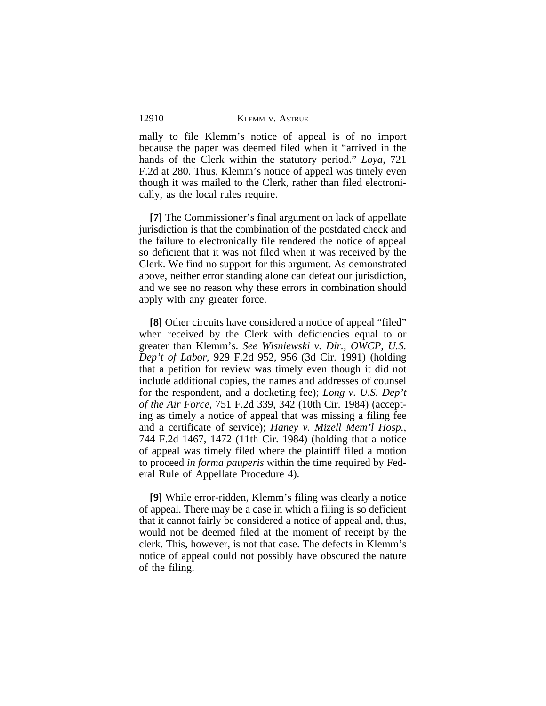12910

mally to file Klemm's notice of appeal is of no import because the paper was deemed filed when it "arrived in the hands of the Clerk within the statutory period." *Loya*, 721 F.2d at 280. Thus, Klemm's notice of appeal was timely even though it was mailed to the Clerk, rather than filed electronically, as the local rules require.

**[7]** The Commissioner's final argument on lack of appellate jurisdiction is that the combination of the postdated check and the failure to electronically file rendered the notice of appeal so deficient that it was not filed when it was received by the Clerk. We find no support for this argument. As demonstrated above, neither error standing alone can defeat our jurisdiction, and we see no reason why these errors in combination should apply with any greater force.

**[8]** Other circuits have considered a notice of appeal "filed" when received by the Clerk with deficiencies equal to or greater than Klemm's. *See Wisniewski v. Dir., OWCP, U.S. Dep't of Labor*, 929 F.2d 952, 956 (3d Cir. 1991) (holding that a petition for review was timely even though it did not include additional copies, the names and addresses of counsel for the respondent, and a docketing fee); *Long v. U.S. Dep't of the Air Force*, 751 F.2d 339, 342 (10th Cir. 1984) (accepting as timely a notice of appeal that was missing a filing fee and a certificate of service); *Haney v. Mizell Mem'l Hosp.*, 744 F.2d 1467, 1472 (11th Cir. 1984) (holding that a notice of appeal was timely filed where the plaintiff filed a motion to proceed *in forma pauperis* within the time required by Federal Rule of Appellate Procedure 4).

**[9]** While error-ridden, Klemm's filing was clearly a notice of appeal. There may be a case in which a filing is so deficient that it cannot fairly be considered a notice of appeal and, thus, would not be deemed filed at the moment of receipt by the clerk. This, however, is not that case. The defects in Klemm's notice of appeal could not possibly have obscured the nature of the filing.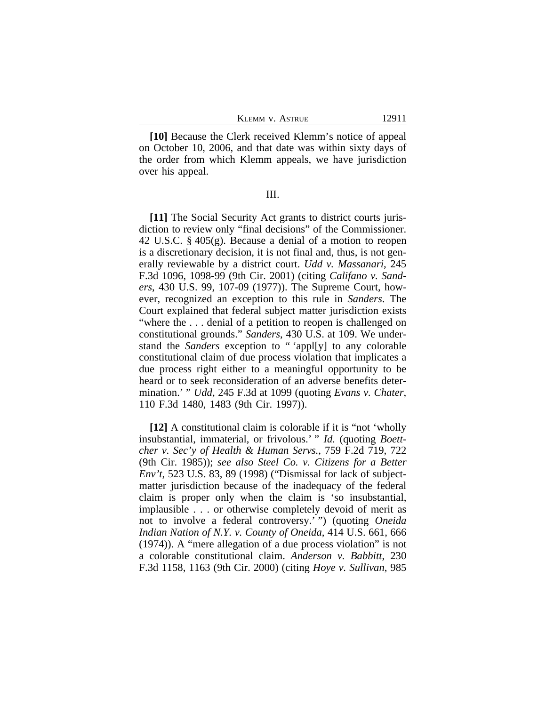| Klemm v. Astrue |  |  |
|-----------------|--|--|
|-----------------|--|--|

**[10]** Because the Clerk received Klemm's notice of appeal on October 10, 2006, and that date was within sixty days of the order from which Klemm appeals, we have jurisdiction over his appeal.

III.

**[11]** The Social Security Act grants to district courts jurisdiction to review only "final decisions" of the Commissioner. 42 U.S.C. § 405(g). Because a denial of a motion to reopen is a discretionary decision, it is not final and, thus, is not generally reviewable by a district court. *Udd v. Massanari*, 245 F.3d 1096, 1098-99 (9th Cir. 2001) (citing *Califano v. Sanders*, 430 U.S. 99, 107-09 (1977)). The Supreme Court, however, recognized an exception to this rule in *Sanders*. The Court explained that federal subject matter jurisdiction exists "where the . . . denial of a petition to reopen is challenged on constitutional grounds." *Sanders*, 430 U.S. at 109. We understand the *Sanders* exception to " 'appl[y] to any colorable constitutional claim of due process violation that implicates a due process right either to a meaningful opportunity to be heard or to seek reconsideration of an adverse benefits determination.' " *Udd*, 245 F.3d at 1099 (quoting *Evans v. Chater*, 110 F.3d 1480, 1483 (9th Cir. 1997)).

**[12]** A constitutional claim is colorable if it is "not 'wholly insubstantial, immaterial, or frivolous.' " *Id.* (quoting *Boettcher v. Sec'y of Health & Human Servs.*, 759 F.2d 719, 722 (9th Cir. 1985)); *see also Steel Co. v. Citizens for a Better Env't*, 523 U.S. 83, 89 (1998) ("Dismissal for lack of subjectmatter jurisdiction because of the inadequacy of the federal claim is proper only when the claim is 'so insubstantial, implausible . . . or otherwise completely devoid of merit as not to involve a federal controversy.' ") (quoting *Oneida Indian Nation of N.Y. v. County of Oneida*, 414 U.S. 661, 666 (1974)). A "mere allegation of a due process violation" is not a colorable constitutional claim. *Anderson v. Babbitt*, 230 F.3d 1158, 1163 (9th Cir. 2000) (citing *Hoye v. Sullivan*, 985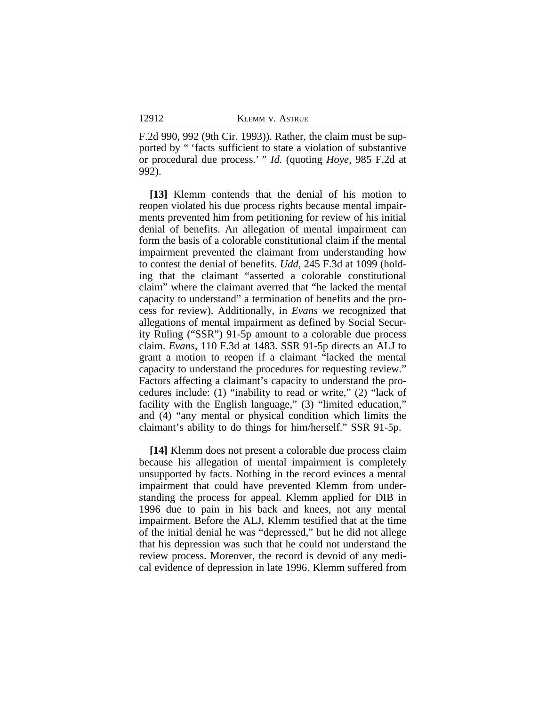F.2d 990, 992 (9th Cir. 1993)). Rather, the claim must be supported by " 'facts sufficient to state a violation of substantive or procedural due process.' " *Id.* (quoting *Hoye*, 985 F.2d at 992).

**[13]** Klemm contends that the denial of his motion to reopen violated his due process rights because mental impairments prevented him from petitioning for review of his initial denial of benefits. An allegation of mental impairment can form the basis of a colorable constitutional claim if the mental impairment prevented the claimant from understanding how to contest the denial of benefits. *Udd*, 245 F.3d at 1099 (holding that the claimant "asserted a colorable constitutional claim" where the claimant averred that "he lacked the mental capacity to understand" a termination of benefits and the process for review). Additionally, in *Evans* we recognized that allegations of mental impairment as defined by Social Security Ruling ("SSR") 91-5p amount to a colorable due process claim. *Evans*, 110 F.3d at 1483. SSR 91-5p directs an ALJ to grant a motion to reopen if a claimant "lacked the mental capacity to understand the procedures for requesting review." Factors affecting a claimant's capacity to understand the procedures include: (1) "inability to read or write," (2) "lack of facility with the English language," (3) "limited education," and (4) "any mental or physical condition which limits the claimant's ability to do things for him/herself." SSR 91-5p.

**[14]** Klemm does not present a colorable due process claim because his allegation of mental impairment is completely unsupported by facts. Nothing in the record evinces a mental impairment that could have prevented Klemm from understanding the process for appeal. Klemm applied for DIB in 1996 due to pain in his back and knees, not any mental impairment. Before the ALJ, Klemm testified that at the time of the initial denial he was "depressed," but he did not allege that his depression was such that he could not understand the review process. Moreover, the record is devoid of any medical evidence of depression in late 1996. Klemm suffered from